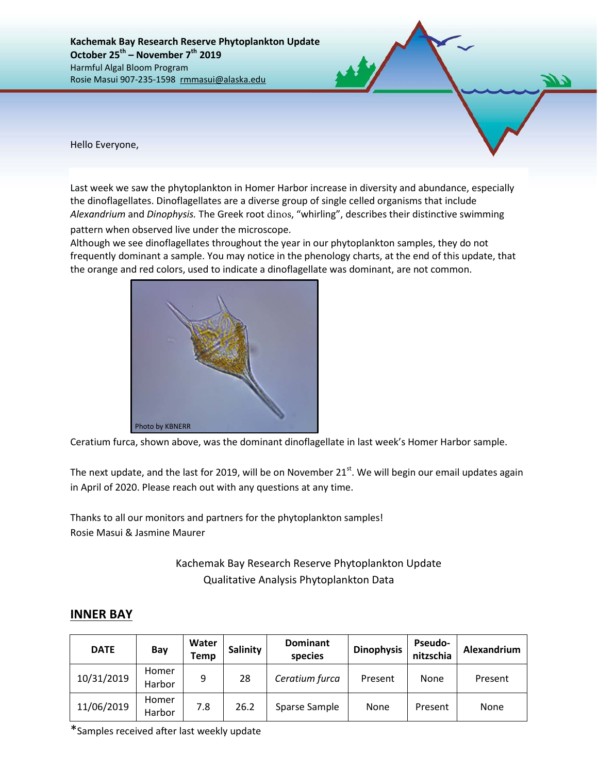**Kachemak Bay Research Reserve Phytoplankton Update October 25th – November 7th 2019** Harmful Algal Bloom Program Rosie Masui 907-235-1598 rmmasui@alaska.edu

Hello Everyone,

Last week we saw the phytoplankton in Homer Harbor increase in diversity and abundance, especially the dinoflagellates. Dinoflagellates are a diverse group of single celled organisms that include *Alexandrium* and *Dinophysis.* The Greek root dinos, "whirling", describes their distinctive swimming

pattern when observed live under the microscope.

Although we see dinoflagellates throughout the year in our phytoplankton samples, they do not frequently dominant a sample. You may notice in the phenology charts, at the end of this update, that the orange and red colors, used to indicate a dinoflagellate was dominant, are not common.



Ceratium furca, shown above, was the dominant dinoflagellate in last week's Homer Harbor sample.

The next update, and the last for 2019, will be on November 21<sup>st</sup>. We will begin our email updates again in April of 2020. Please reach out with any questions at any time.

Thanks to all our monitors and partners for the phytoplankton samples! Rosie Masui & Jasmine Maurer

> Kachemak Bay Research Reserve Phytoplankton Update Qualitative Analysis Phytoplankton Data

## **INNER BAY**

| <b>DATE</b> | Bay             | Water<br>Temp | <b>Salinity</b> | <b>Dominant</b><br>species | <b>Dinophysis</b> | <b>Pseudo-</b><br>nitzschia | Alexandrium |  |
|-------------|-----------------|---------------|-----------------|----------------------------|-------------------|-----------------------------|-------------|--|
| 10/31/2019  | Homer<br>Harbor | 9             | 28              | Ceratium furca             | Present           | None                        | Present     |  |
| 11/06/2019  | Homer<br>Harbor | 7.8           | 26.2            | Sparse Sample              | None              | Present                     | None        |  |

\*Samples received after last weekly update